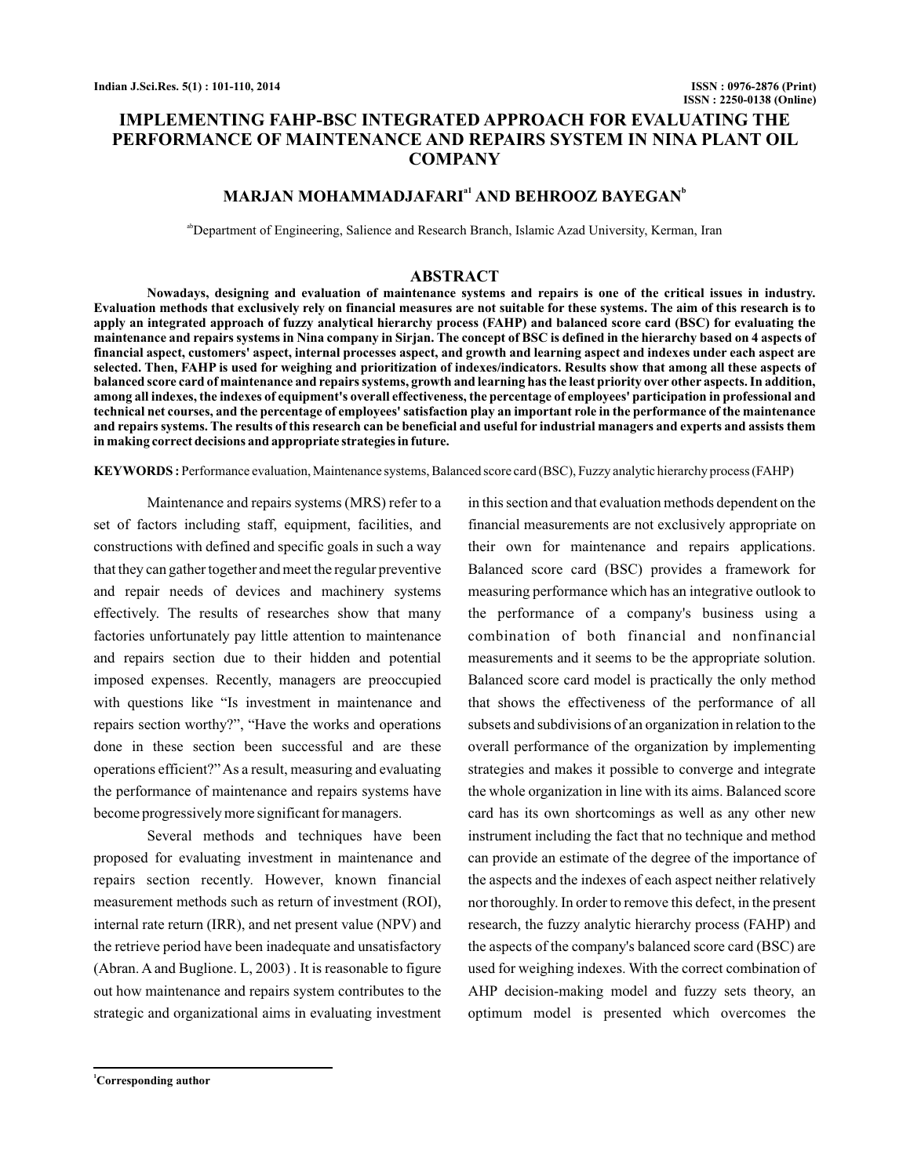# **IMPLEMENTING FAHP-BSC INTEGRATED APPROACH FOR EVALUATING THE PERFORMANCE OF MAINTENANCE AND REPAIRS SYSTEM IN NINA PLANT OIL COMPANY**

# **MARJAN MOHAMMADJAFARI<sup>a1</sup> AND BEHROOZ BAYEGAN<sup>b</sup>**

<sup>ab</sup>Department of Engineering, Salience and Research Branch, Islamic Azad University, Kerman, Iran

#### **ABSTRACT**

**Nowadays, designing and evaluation of maintenance systems and repairs is one of the critical issues in industry. Evaluation methods that exclusively rely on financial measures are not suitable for these systems. The aim of this research is to apply an integrated approach of fuzzy analytical hierarchy process (FAHP) and balanced score card (BSC) for evaluating the maintenance and repairs systems in Nina company in Sirjan. The concept of BSC is defined in the hierarchy based on 4 aspects of financial aspect, customers' aspect, internal processes aspect, and growth and learning aspect and indexes under each aspect are selected. Then, FAHP is used for weighing and prioritization of indexes/indicators. Results show that among all these aspects of balanced score card of maintenance and repairs systems, growth and learning has the least priority over other aspects. In addition, among all indexes, the indexes of equipment's overall effectiveness, the percentage of employees' participation in professional and technical net courses, and the percentage of employees' satisfaction play an important role in the performance of the maintenance and repairs systems. The results of this research can be beneficial and useful for industrial managers and experts and assists them in making correct decisions and appropriate strategies in future.**

**KEYWORDS :** Performance evaluation, Maintenance systems, Balanced score card (BSC), Fuzzy analytic hierarchy process (FAHP)

Maintenance and repairs systems (MRS) refer to a set of factors including staff, equipment, facilities, and constructions with defined and specific goals in such a way that they can gather together and meet the regular preventive and repair needs of devices and machinery systems effectively. The results of researches show that many factories unfortunately pay little attention to maintenance and repairs section due to their hidden and potential imposed expenses. Recently, managers are preoccupied with questions like "Is investment in maintenance and repairs section worthy?", "Have the works and operations done in these section been successful and are these operations efficient?" As a result, measuring and evaluating the performance of maintenance and repairs systems have become progressively more significant for managers.

Several methods and techniques have been proposed for evaluating investment in maintenance and repairs section recently. However, known financial measurement methods such as return of investment (ROI), internal rate return (IRR), and net present value (NPV) and the retrieve period have been inadequate and unsatisfactory (Abran. A and Buglione. L, 2003) . It is reasonable to figure out how maintenance and repairs system contributes to the strategic and organizational aims in evaluating investment in this section and that evaluation methods dependent on the financial measurements are not exclusively appropriate on their own for maintenance and repairs applications. Balanced score card (BSC) provides a framework for measuring performance which has an integrative outlook to the performance of a company's business using a combination of both financial and nonfinancial measurements and it seems to be the appropriate solution. Balanced score card model is practically the only method that shows the effectiveness of the performance of all subsets and subdivisions of an organization in relation to the overall performance of the organization by implementing strategies and makes it possible to converge and integrate the whole organization in line with its aims. Balanced score card has its own shortcomings as well as any other new instrument including the fact that no technique and method can provide an estimate of the degree of the importance of the aspects and the indexes of each aspect neither relatively nor thoroughly. In order to remove this defect, in the present research, the fuzzy analytic hierarchy process (FAHP) and the aspects of the company's balanced score card (BSC) are used for weighing indexes. With the correct combination of AHP decision-making model and fuzzy sets theory, an optimum model is presented which overcomes the

**<sup>1</sup>Corresponding author**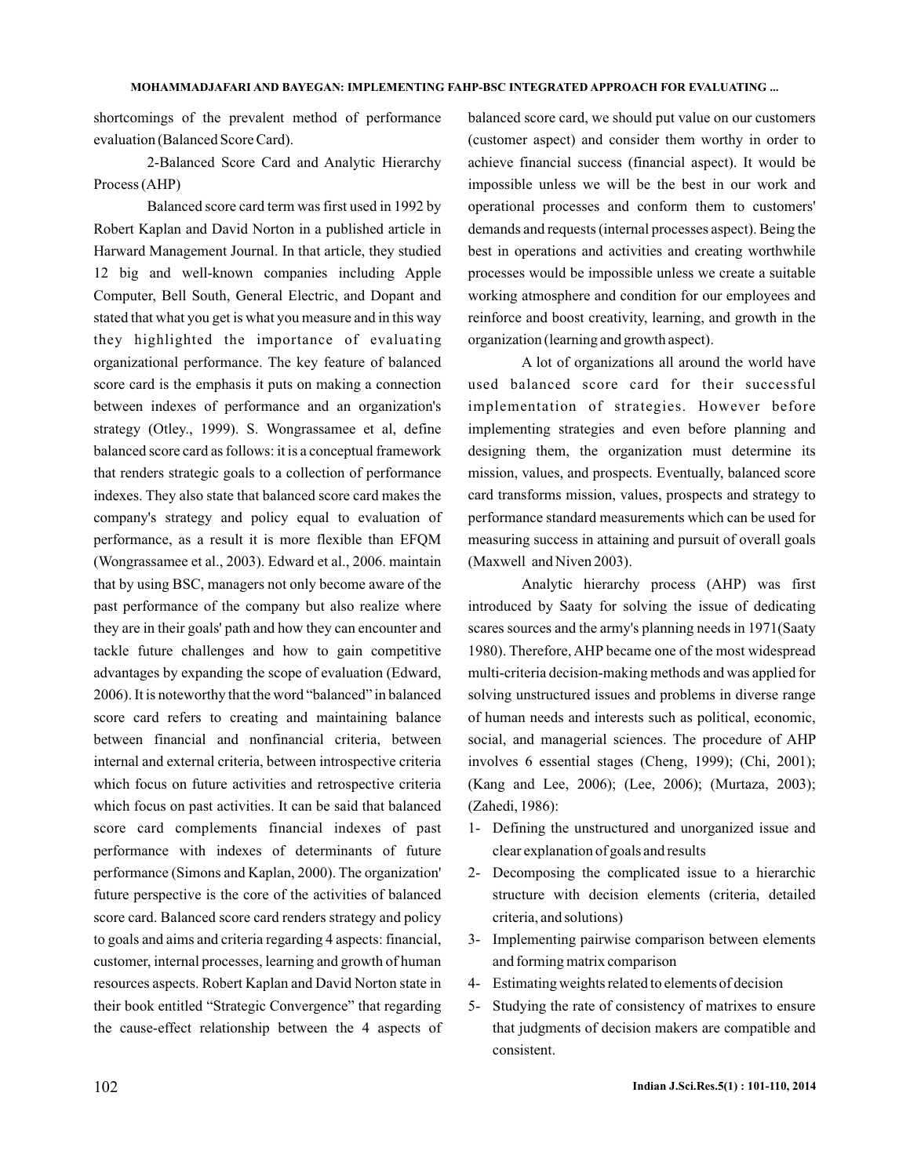shortcomings of the prevalent method of performance evaluation (Balanced Score Card).

2-Balanced Score Card and Analytic Hierarchy Process (AHP)

Balanced score card term was first used in 1992 by Robert Kaplan and David Norton in a published article in Harward Management Journal. In that article, they studied 12 big and well-known companies including Apple Computer, Bell South, General Electric, and Dopant and stated that what you get is what you measure and in this way they highlighted the importance of evaluating organizational performance. The key feature of balanced score card is the emphasis it puts on making a connection between indexes of performance and an organization's strategy (Otley., 1999). S. Wongrassamee et al, define balanced score card as follows: it is a conceptual framework that renders strategic goals to a collection of performance indexes. They also state that balanced score card makes the company's strategy and policy equal to evaluation of performance, as a result it is more flexible than EFQM (Wongrassamee et al., 2003). Edward et al., 2006. maintain that by using BSC, managers not only become aware of the past performance of the company but also realize where they are in their goals' path and how they can encounter and tackle future challenges and how to gain competitive advantages by expanding the scope of evaluation (Edward, 2006). It is noteworthy that the word "balanced" in balanced score card refers to creating and maintaining balance between financial and nonfinancial criteria, between internal and external criteria, between introspective criteria which focus on future activities and retrospective criteria which focus on past activities. It can be said that balanced score card complements financial indexes of past performance with indexes of determinants of future performance (Simons and Kaplan, 2000). The organization' future perspective is the core of the activities of balanced score card. Balanced score card renders strategy and policy to goals and aims and criteria regarding 4 aspects: financial, customer, internal processes, learning and growth of human resources aspects. Robert Kaplan and David Norton state in their book entitled "Strategic Convergence" that regarding the cause-effect relationship between the 4 aspects of

balanced score card, we should put value on our customers (customer aspect) and consider them worthy in order to achieve financial success (financial aspect). It would be impossible unless we will be the best in our work and operational processes and conform them to customers' demands and requests (internal processes aspect). Being the best in operations and activities and creating worthwhile processes would be impossible unless we create a suitable working atmosphere and condition for our employees and reinforce and boost creativity, learning, and growth in the organization (learning and growth aspect).

A lot of organizations all around the world have used balanced score card for their successful implementation of strategies. However before implementing strategies and even before planning and designing them, the organization must determine its mission, values, and prospects. Eventually, balanced score card transforms mission, values, prospects and strategy to performance standard measurements which can be used for measuring success in attaining and pursuit of overall goals (Maxwell and Niven 2003).

Analytic hierarchy process (AHP) was first introduced by Saaty for solving the issue of dedicating scares sources and the army's planning needs in 1971(Saaty 1980). Therefore, AHP became one of the most widespread multi-criteria decision-making methods and was applied for solving unstructured issues and problems in diverse range of human needs and interests such as political, economic, social, and managerial sciences. The procedure of AHP involves 6 essential stages (Cheng, 1999); (Chi, 2001); (Kang and Lee, 2006); (Lee, 2006); (Murtaza, 2003); (Zahedi, 1986):

- 1- Defining the unstructured and unorganized issue and clear explanation of goals and results
- 2- Decomposing the complicated issue to a hierarchic structure with decision elements (criteria, detailed criteria, and solutions)
- 3- Implementing pairwise comparison between elements and forming matrix comparison
- 4- Estimating weights related to elements of decision
- 5- Studying the rate of consistency of matrixes to ensure that judgments of decision makers are compatible and consistent.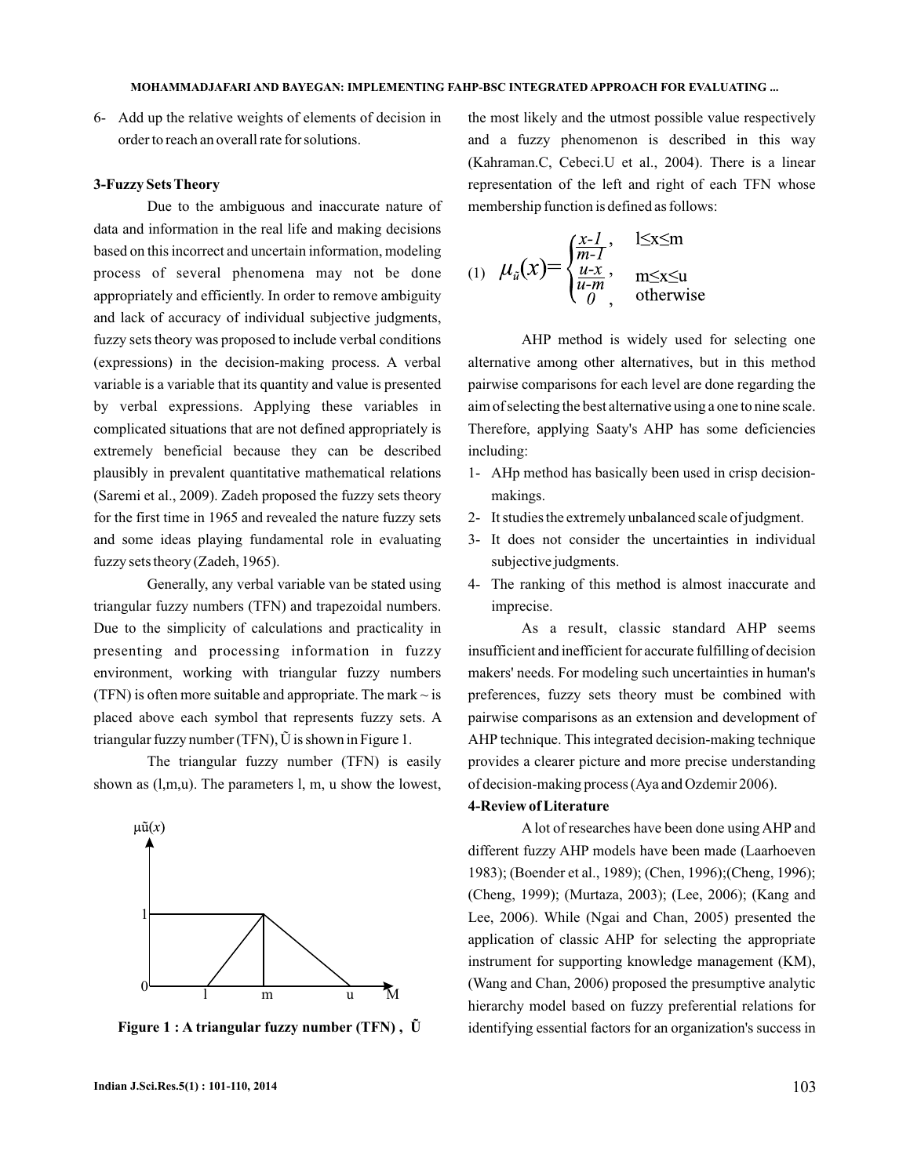6- Add up the relative weights of elements of decision in order to reach an overall rate for solutions.

### **3-Fuzzy Sets Theory**

Due to the ambiguous and inaccurate nature of data and information in the real life and making decisions based on this incorrect and uncertain information, modeling process of several phenomena may not be done appropriately and efficiently. In order to remove ambiguity and lack of accuracy of individual subjective judgments, fuzzy sets theory was proposed to include verbal conditions (expressions) in the decision-making process. A verbal variable is a variable that its quantity and value is presented by verbal expressions. Applying these variables in complicated situations that are not defined appropriately is extremely beneficial because they can be described plausibly in prevalent quantitative mathematical relations (Saremi et al., 2009). Zadeh proposed the fuzzy sets theory for the first time in 1965 and revealed the nature fuzzy sets and some ideas playing fundamental role in evaluating fuzzy sets theory (Zadeh, 1965).

Generally, any verbal variable van be stated using triangular fuzzy numbers (TFN) and trapezoidal numbers. Due to the simplicity of calculations and practicality in presenting and processing information in fuzzy environment, working with triangular fuzzy numbers (TFN) is often more suitable and appropriate. The mark  $\sim$  is placed above each symbol that represents fuzzy sets. A triangular fuzzy number (TFN), Ũ is shown in Figure 1.

The triangular fuzzy number (TFN) is easily shown as (l,m,u). The parameters l, m, u show the lowest,



**Figure 1 : A triangular fuzzy number (TFN) , Ũ**

(1)

AHP method is widely used for selecting one alternative among other alternatives, but in this method pairwise comparisons for each level are done regarding the aim of selecting the best alternative using a one to nine scale. Therefore, applying Saaty's AHP has some deficiencies including:

- 1- AHp method has basically been used in crisp decisionmakings.
- 2- It studies the extremely unbalanced scale of judgment.
- 3- It does not consider the uncertainties in individual subjective judgments.
- 4- The ranking of this method is almost inaccurate and imprecise.

As a result, classic standard AHP seems insufficient and inefficient for accurate fulfilling of decision makers' needs. For modeling such uncertainties in human's preferences, fuzzy sets theory must be combined with pairwise comparisons as an extension and development of AHP technique. This integrated decision-making technique provides a clearer picture and more precise understanding of decision-making process (Aya and Ozdemir 2006).

### **4-Review of Literature**

A lot of researches have been done using AHP and different fuzzy AHP models have been made (Laarhoeven 1983); (Boender et al., 1989); (Chen, 1996);(Cheng, 1996); (Cheng, 1999); (Murtaza, 2003); (Lee, 2006); (Kang and Lee, 2006). While (Ngai and Chan, 2005) presented the application of classic AHP for selecting the appropriate instrument for supporting knowledge management (KM), (Wang and Chan, 2006) proposed the presumptive analytic hierarchy model based on fuzzy preferential relations for identifying essential factors for an organization's success in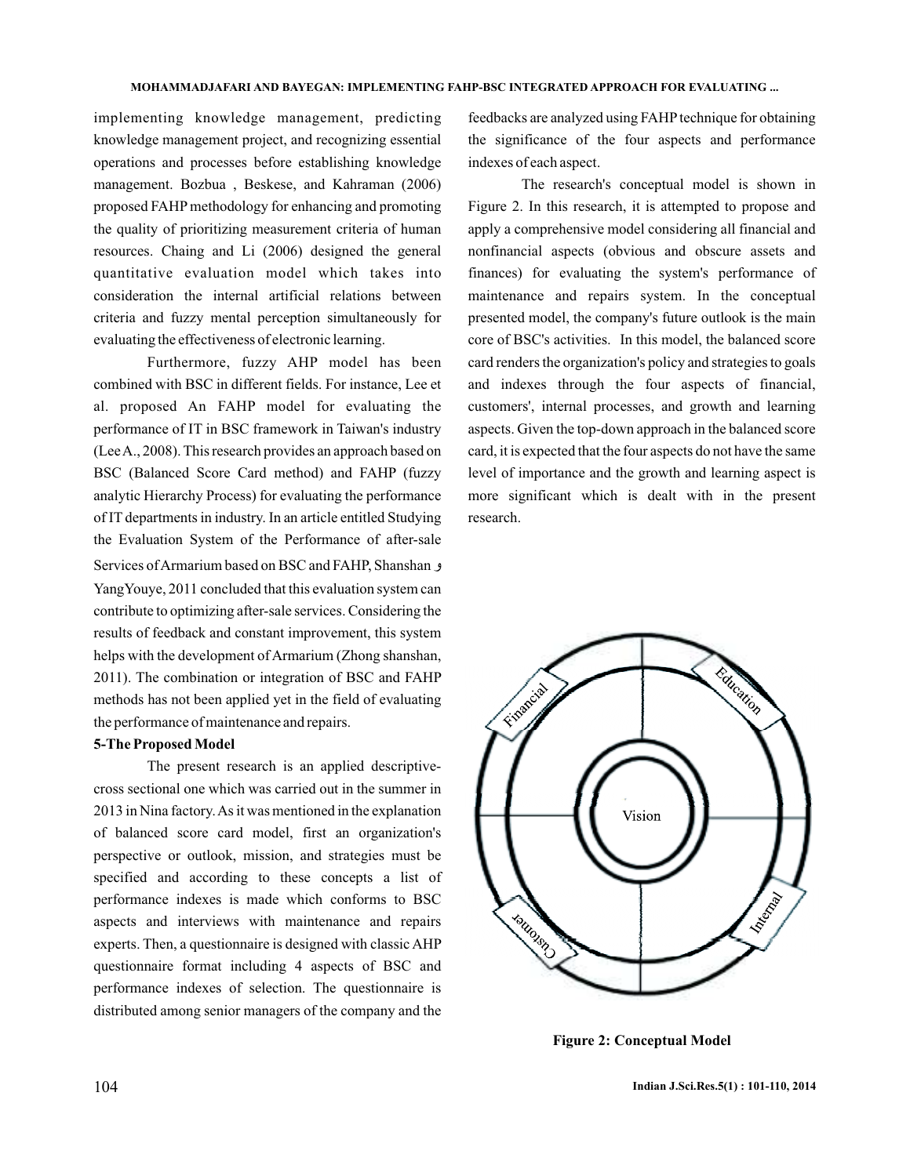implementing knowledge management, predicting knowledge management project, and recognizing essential operations and processes before establishing knowledge management. Bozbua , Beskese, and Kahraman (2006) proposed FAHP methodology for enhancing and promoting the quality of prioritizing measurement criteria of human resources. Chaing and Li (2006) designed the general quantitative evaluation model which takes into consideration the internal artificial relations between criteria and fuzzy mental perception simultaneously for evaluating the effectiveness of electronic learning.

Furthermore, fuzzy AHP model has been combined with BSC in different fields. For instance, Lee et al. proposed An FAHP model for evaluating the performance of IT in BSC framework in Taiwan's industry (LeeA., 2008). This research provides an approach based on BSC (Balanced Score Card method) and FAHP (fuzzy analytic Hierarchy Process) for evaluating the performance of IT departments in industry. In an article entitled Studying the Evaluation System of the Performance of after-sale Services ofArmarium based on BSC and FAHP, Shanshan ! YangYouye, 2011 concluded that this evaluation system can contribute to optimizing after-sale services. Considering the results of feedback and constant improvement, this system helps with the development of Armarium (Zhong shanshan, 2011). The combination or integration of BSC and FAHP methods has not been applied yet in the field of evaluating the performance of maintenance and repairs.

### **5-The Proposed Model**

The present research is an applied descriptivecross sectional one which was carried out in the summer in 2013 in Nina factory.As it was mentioned in the explanation of balanced score card model, first an organization's perspective or outlook, mission, and strategies must be specified and according to these concepts a list of performance indexes is made which conforms to BSC aspects and interviews with maintenance and repairs experts. Then, a questionnaire is designed with classic AHP questionnaire format including 4 aspects of BSC and performance indexes of selection. The questionnaire is distributed among senior managers of the company and the

feedbacks are analyzed using FAHP technique for obtaining the significance of the four aspects and performance indexes of each aspect.

The research's conceptual model is shown in Figure 2. In this research, it is attempted to propose and apply a comprehensive model considering all financial and nonfinancial aspects (obvious and obscure assets and finances) for evaluating the system's performance of maintenance and repairs system. In the conceptual presented model, the company's future outlook is the main core of BSC's activities. In this model, the balanced score card renders the organization's policy and strategies to goals and indexes through the four aspects of financial, customers', internal processes, and growth and learning aspects. Given the top-down approach in the balanced score card, it is expected that the four aspects do not have the same level of importance and the growth and learning aspect is more significant which is dealt with in the present research.



**Figure 2: Conceptual Model**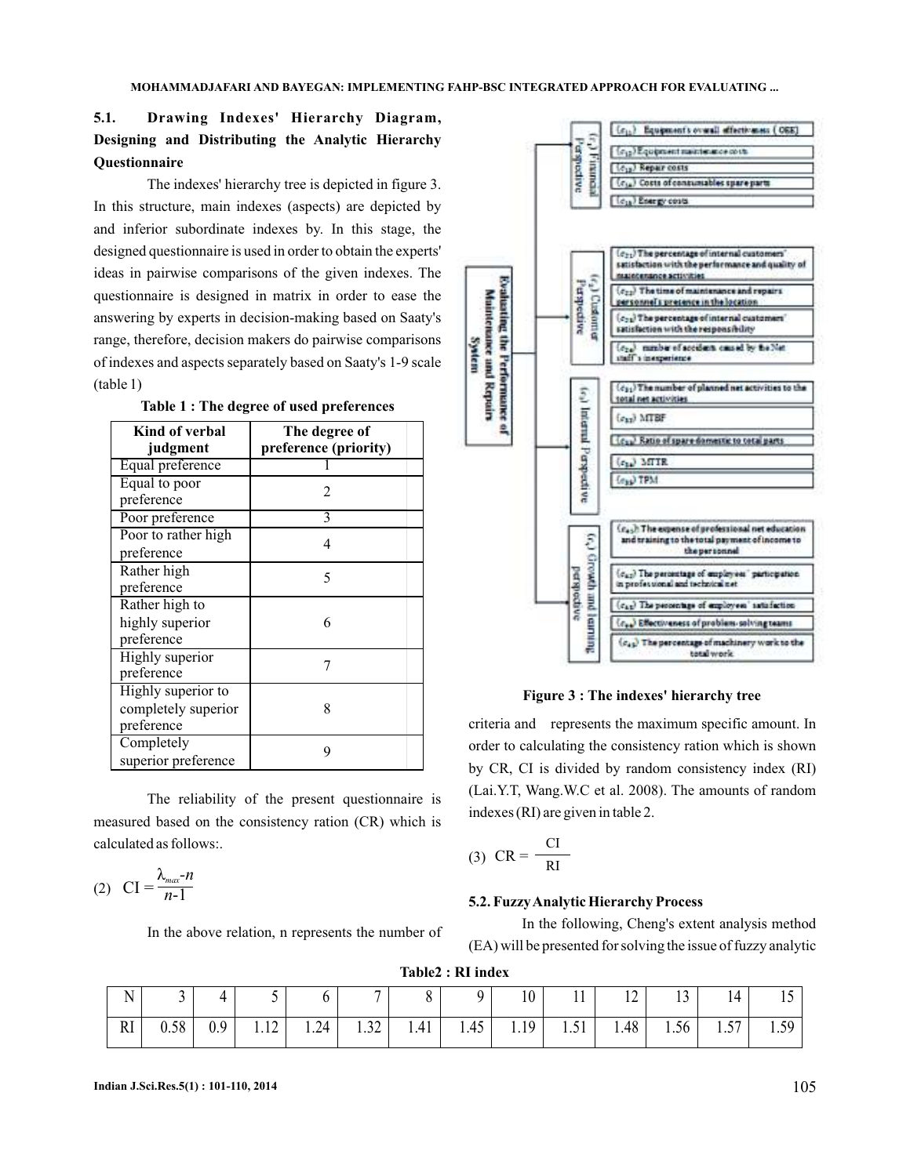# **5.1. Drawing Indexes' Hierarchy Diagram, Designing and Distributing the Analytic Hierarchy Questionnaire**

The indexes' hierarchy tree is depicted in figure 3. In this structure, main indexes (aspects) are depicted by and inferior subordinate indexes by. In this stage, the designed questionnaire is used in order to obtain the experts' ideas in pairwise comparisons of the given indexes. The questionnaire is designed in matrix in order to ease the answering by experts in decision-making based on Saaty's range, therefore, decision makers do pairwise comparisons of indexes and aspects separately based on Saaty's 1-9 scale (table 1)

| Kind of verbal      | The degree of         |
|---------------------|-----------------------|
| judgment            | preference (priority) |
| Equal preference    |                       |
| Equal to poor       | 2                     |
| preference          |                       |
| Poor preference     |                       |
| Poor to rather high | 4                     |
| preference          |                       |
| Rather high         | 5                     |
| preference          |                       |
| Rather high to      |                       |
| highly superior     | 6                     |
| preference          |                       |
| Highly superior     |                       |
| preference          |                       |
| Highly superior to  |                       |
| completely superior | 8                     |
| preference          |                       |
| Completely          | 9                     |
| superior preference |                       |

**Table 1 : The degree of used preferences**

The reliability of the present questionnaire is measured based on the consistency ration (CR) which is calculated as follows:.

$$
(2) \quad \text{CI} = \frac{\lambda_{\text{max}} - n}{n - 1}
$$

In the above relation, n represents the number of



**Figure 3 : The indexes' hierarchy tree**

criteria and represents the maximum specific amount. In order to calculating the consistency ration which is shown by CR, CI is divided by random consistency index (RI) (Lai.Y.T, Wang.W.C et al. 2008). The amounts of random indexes (RI) are given in table 2.

$$
(3) \ \ \text{CR} = \frac{\text{CI}}{\text{RI}}
$$

### **5.2. FuzzyAnalytic Hierarchy Process**

In the following, Cheng's extent analysis method (EA) will be presented for solving the issue of fuzzy analytic

| N<br>т, |      | $\Delta$              |                                              |      |                       |      |      | 10         | TT.                    | $1^{\wedge}$<br>$\overline{1}$ | $1^{\wedge}$ | 14                     | $\overline{1}$     |
|---------|------|-----------------------|----------------------------------------------|------|-----------------------|------|------|------------|------------------------|--------------------------------|--------------|------------------------|--------------------|
| RI      | 0.58 | 0 <sup>0</sup><br>0.9 | $1^{\circ}$<br>$\mathbf{1} \cdot \mathbf{1}$ | 1.24 | $\mathcal{L}$<br>1.74 | 1.41 | 1.45 | 10<br>1.1/ | F <sub>1</sub><br>1.71 | 1.48                           | 1.56         | F <sub>7</sub><br>1.01 | 50<br>1.J <i>.</i> |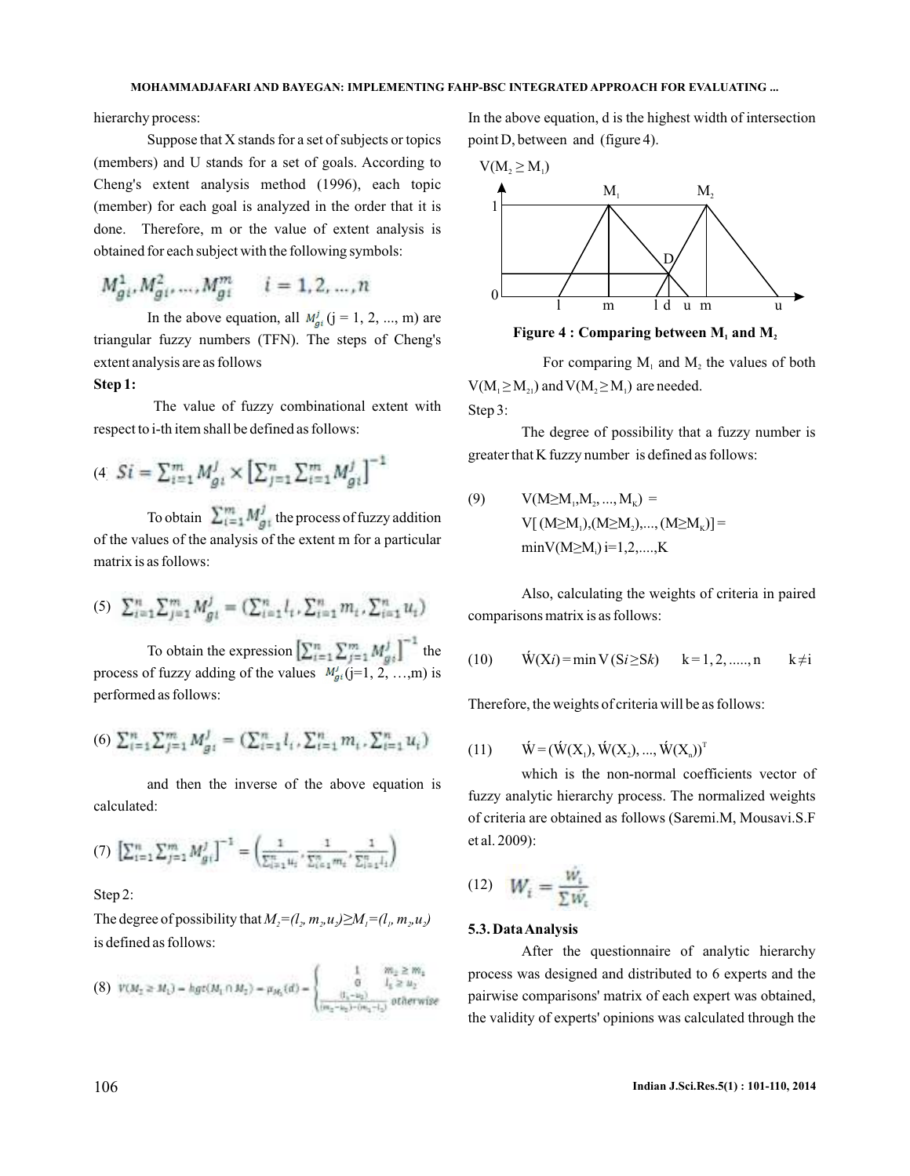hierarchy process:

Suppose that X stands for a set of subjects or topics (members) and U stands for a set of goals. According to Cheng's extent analysis method (1996), each topic (member) for each goal is analyzed in the order that it is done. Therefore, m or the value of extent analysis is obtained for each subject with the following symbols:

$$
M_{gi}^1, M_{gi}^2, \dots, M_{gi}^m \qquad i = 1, 2, \dots, n
$$

In the above equation, all  $M_{gi}^j$  (j = 1, 2, ..., m) are triangular fuzzy numbers (TFN). The steps of Cheng's extent analysis are as follows

# **Step 1:**

The value of fuzzy combinational extent with respect to i-th item shall be defined as follows:

$$
(4 \ \ St = \sum_{i=1}^{m} M_{gi}^{j} \times \left[ \sum_{j=1}^{n} \sum_{i=1}^{m} M_{gi}^{j} \right]^{-1}
$$

To obtain  $\sum_{i=1}^{m} M_{g_i}^j$  the process of fuzzy addition of the values of the analysis of the extent m for a particular matrix is as follows:

$$
(5) \ \sum_{i=1}^{n} \sum_{j=1}^{m} M_{gl}^{j} = (\sum_{i=1}^{n} l_{i}, \sum_{i=1}^{n} m_{i}, \sum_{i=1}^{n} u_{i})
$$

To obtain the expression  $\sum_{i=1}^{m} \sum_{i=1}^{m} M_{ni}$  the process of fuzzy adding of the values  $M'_{gi} (j=1, 2, ...,m)$  is performed as follows:

$$
(6) \ \sum_{i=1}^{n} \sum_{j=1}^{m} M_{gi}^{j} = (\sum_{i=1}^{n} l_{i}, \sum_{i=1}^{n} m_{i}, \sum_{i=1}^{n} u_{i})
$$

and then the inverse of the above equation is calculated:

(7) 
$$
\left[\sum_{i=1}^{m} \sum_{j=1}^{m} M_{gi}^{j}\right]^{-1} = \left(\frac{1}{\sum_{i=1}^{n} u_{i}} \cdot \frac{1}{\sum_{i=1}^{n} m_{i}} \cdot \frac{1}{\sum_{i=1}^{n} l_{i}}\right)
$$

Step 2:

The degree of possibility that  $M_2 = (l_2, m_2, u_2) \ge M_1 = (l_1, m_2, u_2)$ is defined as follows:

(8) 
$$
V(M_2 \ge M_1) = hgt(M_1 \cap M_2) = \mu_{M_2}(d) = \begin{cases} 1 & m_2 \ge m_1 \\ 0 & l_5 \ge u_2 \\ \frac{(l_1 - u_2)}{(m_2 - u_2) - (m_1 - l_2)} \text{ otherwise} \end{cases}
$$

In the above equation, d is the highest width of intersection point D, between and (figure 4).



**Figure 4 : Comparing between**  $M_1$  **and**  $M_2$ 

For comparing  $M_1$  and  $M_2$  the values of both  $V(M_1 \geq M_2)$  and  $V(M_2 \geq M_1)$  are needed.

Step 3:

The degree of possibility that a fuzzy number is greater that K fuzzy number is defined as follows:

(9) 
$$
V(M \ge M_1, M_2, ..., M_K) =
$$
  
\n $V[(M \ge M_1), (M \ge M_2), ..., (M \ge M_K)] =$   
\n $min V(M \ge M_1) i=1,2,...,K$ 

Also, calculating the weights of criteria in paired comparisons matrix is as follows:

(10) 
$$
\dot{W}(Xi) = \min V(S_i \ge Sk)
$$
  $k = 1, 2, \dots, n$   $k \ne i$ 

Therefore, the weights of criteria will be as follows:

(11) 
$$
\dot{W} = (\dot{W}(X_1), \dot{W}(X_2), ..., \dot{W}(X_n))^T
$$

which is the non-normal coefficients vector of fuzzy analytic hierarchy process. The normalized weights of criteria are obtained as follows (Saremi.M, Mousavi.S.F et al. 2009):

$$
(12) \quad W_i = \frac{\dot{W}_i}{\Sigma \dot{W}_i}
$$

# **5.3. DataAnalysis**

After the questionnaire of analytic hierarchy process was designed and distributed to 6 experts and the pairwise comparisons' matrix of each expert was obtained, the validity of experts' opinions was calculated through the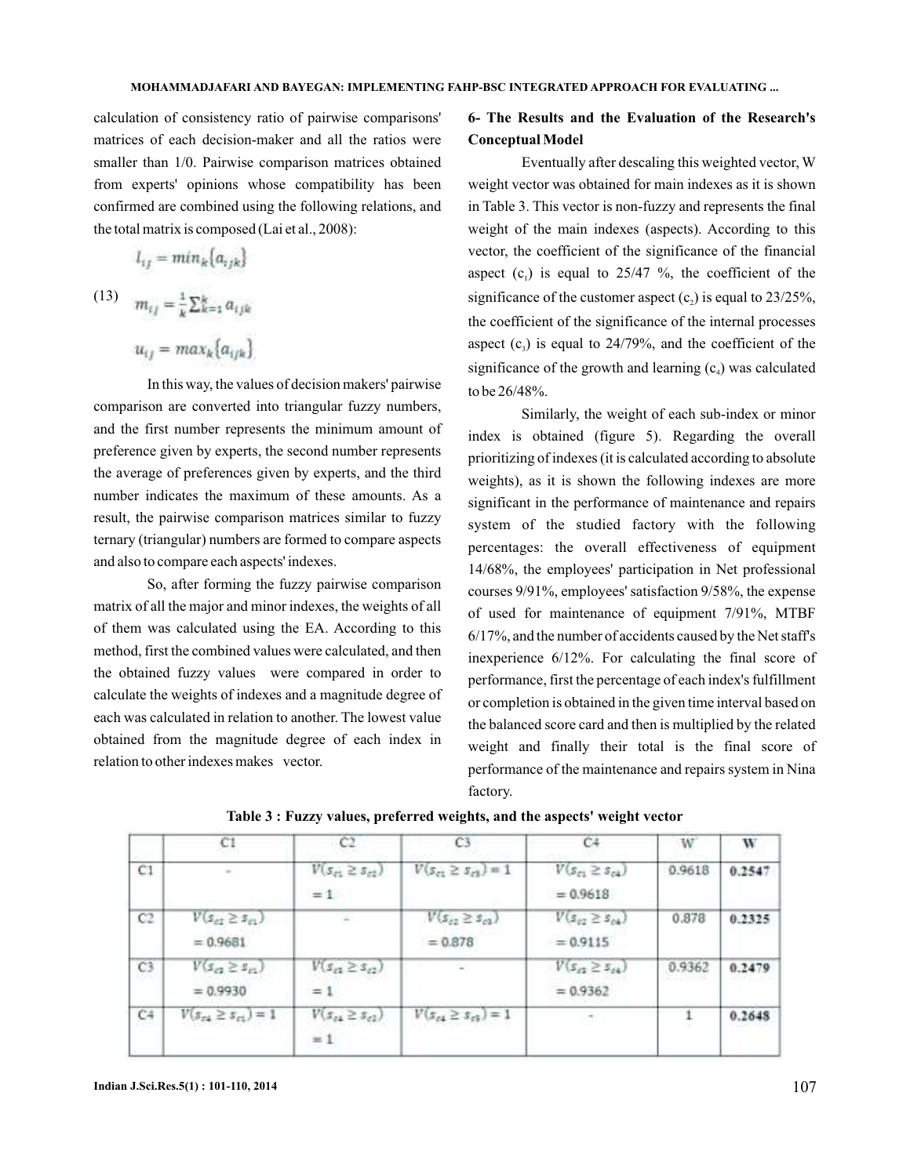calculation of consistency ratio of pairwise comparisons' matrices of each decision-maker and all the ratios were smaller than 1/0. Pairwise comparison matrices obtained from experts' opinions whose compatibility has been confirmed are combined using the following relations, and the total matrix is composed (Lai et al., 2008):

$$
l_{ij} = min_k \{a_{ijk}\}
$$
  
(13)  

$$
m_{ij} = \frac{1}{k} \sum_{k=1}^{k} a_{ijk}
$$
  

$$
u_{ij} = max_k \{a_{ijk}\}
$$

 $($ 

In this way, the values of decision makers' pairwise comparison are converted into triangular fuzzy numbers, and the first number represents the minimum amount of preference given by experts, the second number represents the average of preferences given by experts, and the third number indicates the maximum of these amounts. As a result, the pairwise comparison matrices similar to fuzzy ternary (triangular) numbers are formed to compare aspects and also to compare each aspects' indexes.

So, after forming the fuzzy pairwise comparison matrix of all the major and minor indexes, the weights of all of them was calculated using the EA. According to this method, first the combined values were calculated, and then the obtained fuzzy values were compared in order to calculate the weights of indexes and a magnitude degree of each was calculated in relation to another. The lowest value obtained from the magnitude degree of each index in relation to other indexes makes vector.

# **6- The Results and the Evaluation of the Research's Conceptual Model**

Eventually after descaling this weighted vector, W weight vector was obtained for main indexes as it is shown in Table 3. This vector is non-fuzzy and represents the final weight of the main indexes (aspects). According to this vector, the coefficient of the significance of the financial aspect  $(c_1)$  is equal to 25/47 %, the coefficient of the significance of the customer aspect  $(c_2)$  is equal to 23/25%, the coefficient of the significance of the internal processes aspect  $(c_3)$  is equal to 24/79%, and the coefficient of the significance of the growth and learning  $(c<sub>4</sub>)$  was calculated to be 26/48%.

Similarly, the weight of each sub-index or minor index is obtained (figure 5). Regarding the overall prioritizing of indexes (it is calculated according to absolute weights), as it is shown the following indexes are more significant in the performance of maintenance and repairs system of the studied factory with the following percentages: the overall effectiveness of equipment 14/68%, the employees' participation in Net professional courses 9/91%, employees' satisfaction 9/58%, the expense of used for maintenance of equipment 7/91%, MTBF 6/17%, and the number of accidents caused by the Net staff's inexperience 6/12%. For calculating the final score of performance, first the percentage of each index's fulfillment or completion is obtained in the given time interval based on the balanced score card and then is multiplied by the related weight and finally their total is the final score of performance of the maintenance and repairs system in Nina factory.

|    | C.                                      | <b>CZ</b>                       | U3                                   | 1.04                                    | ≒W     | w      |
|----|-----------------------------------------|---------------------------------|--------------------------------------|-----------------------------------------|--------|--------|
| C1 |                                         | $V(s_{ci} \geq s_{ci})$<br>$=1$ | $V(s_{c1} \geq s_{c1}) = 1$          | $V(s_{g_1} \geq s_{g_4})$<br>$= 0.9618$ | 0.9618 | 0.2547 |
| C2 | $V(s_{c1} \geq s_{c1})$ .<br>$= 0.9681$ | $\frac{1}{2}$                   | $V(s_{cz} \geq s_{cz})$<br>$= 0.878$ | $V(s_{c2} \geq s_{c4})$<br>$= 0.9115$   | 0.878  | 0.2325 |
| C3 | $V(s_{c2} \geq s_{c1})$<br>$= 0.9930$   | $V(s_{c1} \geq s_{c2})$<br>$=1$ |                                      | $V(s_{ex} \geq s_{ex})$<br>$= 0.9362$   | 0.9362 | 0.2479 |
| C4 | $V(s_{c4} \ge s_{c4}) = 1$              | $V(s_{c4} \geq s_{c2})$<br>$=1$ | $V(s_{c4} \geq s_{c3}) = 1$          |                                         |        | 0.2648 |

**Table 3 : Fuzzy values, preferred weights, and the aspects' weight vector**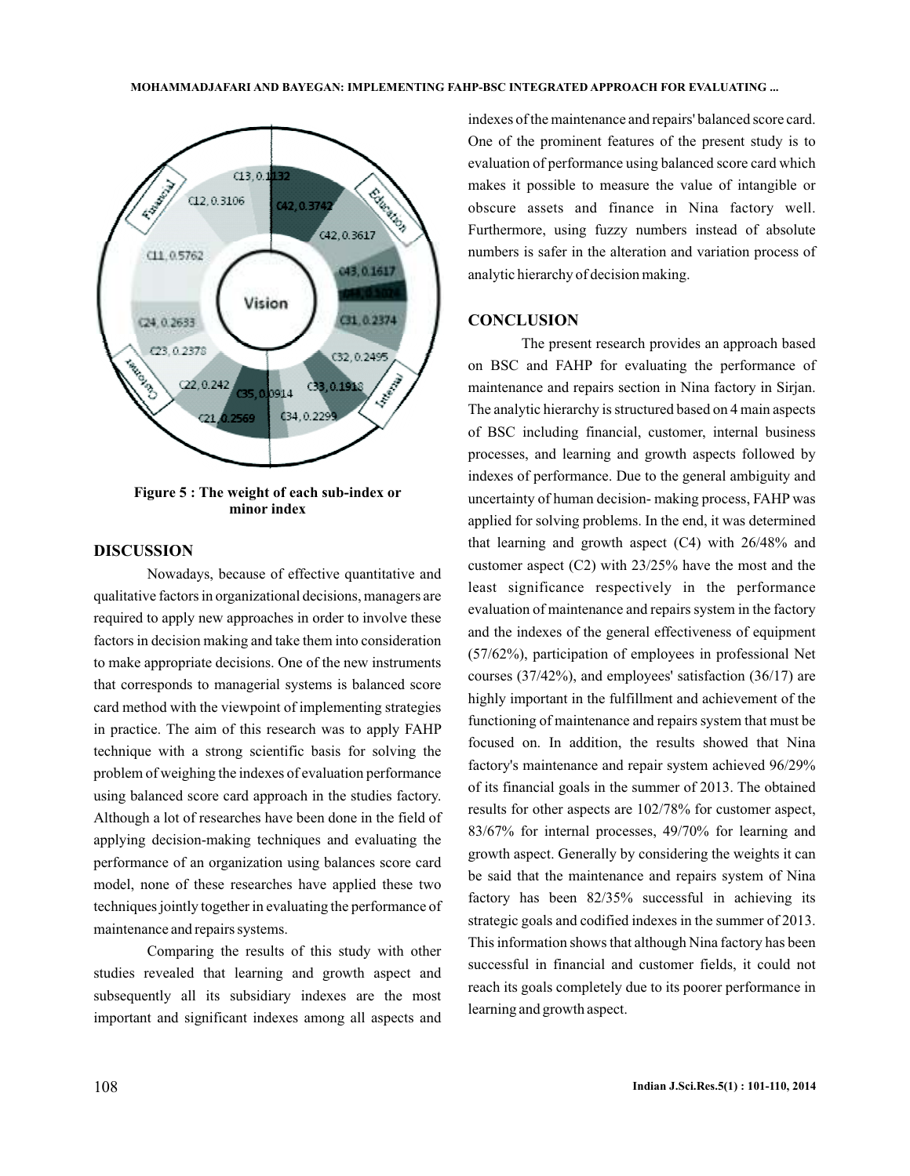

**Figure 5 : The weight of each sub-index or minor index**

## **DISCUSSION**

Nowadays, because of effective quantitative and qualitative factors in organizational decisions, managers are required to apply new approaches in order to involve these factors in decision making and take them into consideration to make appropriate decisions. One of the new instruments that corresponds to managerial systems is balanced score card method with the viewpoint of implementing strategies in practice. The aim of this research was to apply FAHP technique with a strong scientific basis for solving the problem of weighing the indexes of evaluation performance using balanced score card approach in the studies factory. Although a lot of researches have been done in the field of applying decision-making techniques and evaluating the performance of an organization using balances score card model, none of these researches have applied these two techniques jointly together in evaluating the performance of maintenance and repairs systems.

Comparing the results of this study with other studies revealed that learning and growth aspect and subsequently all its subsidiary indexes are the most important and significant indexes among all aspects and indexes of the maintenance and repairs' balanced score card. One of the prominent features of the present study is to evaluation of performance using balanced score card which makes it possible to measure the value of intangible or obscure assets and finance in Nina factory well. Furthermore, using fuzzy numbers instead of absolute numbers is safer in the alteration and variation process of analytic hierarchy of decision making.

# **CONCLUSION**

The present research provides an approach based on BSC and FAHP for evaluating the performance of maintenance and repairs section in Nina factory in Sirjan. The analytic hierarchy is structured based on 4 main aspects of BSC including financial, customer, internal business processes, and learning and growth aspects followed by indexes of performance. Due to the general ambiguity and uncertainty of human decision- making process, FAHP was applied for solving problems. In the end, it was determined that learning and growth aspect (C4) with 26/48% and customer aspect (C2) with 23/25% have the most and the least significance respectively in the performance evaluation of maintenance and repairs system in the factory and the indexes of the general effectiveness of equipment (57/62%), participation of employees in professional Net courses (37/42%), and employees' satisfaction (36/17) are highly important in the fulfillment and achievement of the functioning of maintenance and repairs system that must be focused on. In addition, the results showed that Nina factory's maintenance and repair system achieved 96/29% of its financial goals in the summer of 2013. The obtained results for other aspects are 102/78% for customer aspect, 83/67% for internal processes, 49/70% for learning and growth aspect. Generally by considering the weights it can be said that the maintenance and repairs system of Nina factory has been 82/35% successful in achieving its strategic goals and codified indexes in the summer of 2013. This information shows that although Nina factory has been successful in financial and customer fields, it could not reach its goals completely due to its poorer performance in learning and growth aspect.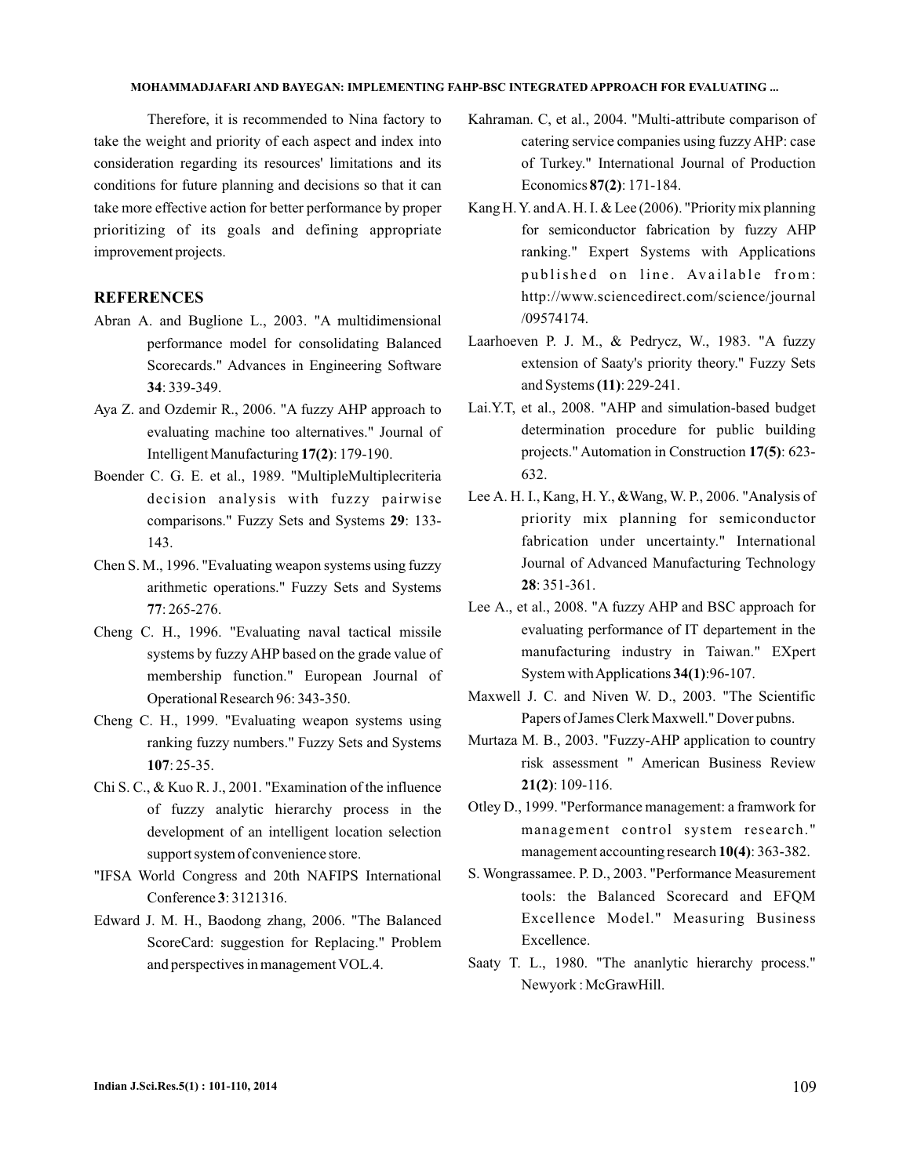Therefore, it is recommended to Nina factory to take the weight and priority of each aspect and index into consideration regarding its resources' limitations and its conditions for future planning and decisions so that it can take more effective action for better performance by proper prioritizing of its goals and defining appropriate improvement projects.

## **REFERENCES**

- Abran A. and Buglione L., 2003. "A multidimensional performance model for consolidating Balanced Scorecards." Advances in Engineering Software : 339-349. **34**
- Aya Z. and Ozdemir R., 2006. "A fuzzy AHP approach to evaluating machine too alternatives." Journal of Intelligent Manufacturing 17(2): 179-190.
- Boender C. G. E. et al., 1989. "MultipleMultiplecriteria decision analysis with fuzzy pairwise comparisons." Fuzzy Sets and Systems 29: 133-143.
- Chen S. M., 1996. "Evaluating weapon systems using fuzzy arithmetic operations." Fuzzy Sets and Systems : 265-276. **77**
- Cheng C. H., 1996. "Evaluating naval tactical missile systems by fuzzy AHP based on the grade value of membership function." European Journal of Operational Research 96: 343-350.
- Cheng C. H., 1999. "Evaluating weapon systems using ranking fuzzy numbers." Fuzzy Sets and Systems : 25-35. **107**
- Chi S. C., & Kuo R. J., 2001. "Examination of the influence of fuzzy analytic hierarchy process in the development of an intelligent location selection support system of convenience store.
- "IFSA World Congress and 20th NAFIPS International Conference 3: 3121316.
- Edward J. M. H., Baodong zhang, 2006. "The Balanced ScoreCard: suggestion for Replacing." Problem and perspectives in management VOL.4.
- Kahraman. C, et al., 2004. "Multi-attribute comparison of catering service companies using fuzzy AHP: case of Turkey." International Journal of Production Economics 87(2): 171-184.
- Kang H.Y. andA. H. I.& Lee (2006). "Priority mix planning for semiconductor fabrication by fuzzy AHP ranking." Expert Systems with Applications published on line. Available from: http://www.sciencedirect.com/science/journal /09574174.
- Laarhoeven P. J. M., & Pedrycz, W., 1983. "A fuzzy extension of Saaty's priority theory." Fuzzy Sets and Systems (11): 229-241.
- Lai.Y.T, et al., 2008. "AHP and simulation-based budget determination procedure for public building projects." Automation in Construction 17(5): 623-632.
- Lee A. H. I., Kang, H. Y., &Wang, W. P., 2006. "Analysis of priority mix planning for semiconductor fabrication under uncertainty." International Journal of Advanced Manufacturing Technology : 351-361. **28**
- Lee A., et al., 2008. "A fuzzy AHP and BSC approach for evaluating performance of IT departement in the manufacturing industry in Taiwan." EXpert System with Applications 34(1):96-107.
- Maxwell J. C. and Niven W. D., 2003. "The Scientific Papers of James Clerk Maxwell." Dover pubns.
- Murtaza M. B., 2003. "Fuzzy-AHP application to country risk assessment " American Business Review : 109-116. **21(2)**
- Otley D., 1999. "Performance management: a framwork for management control system research." management accounting research 10(4): 363-382.
- S. Wongrassamee. P. D., 2003. "Performance Measurement tools: the Balanced Scorecard and EFQM Excellence Model." Measuring Business Excellence.
- Saaty T. L., 1980. "The ananlytic hierarchy process." Newyork : McGrawHill.